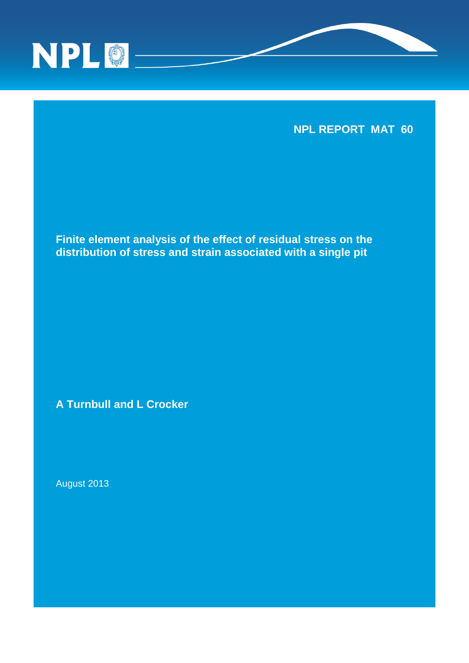

**NPL REPORT MAT 60**

**Finite element analysis of the effect of residual stress on the distribution of stress and strain associated with a single pit**

**A Turnbull and L Crocker**

August 2013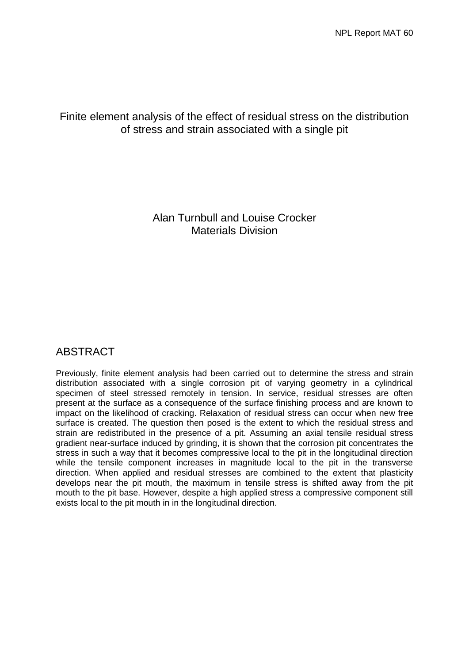# Finite element analysis of the effect of residual stress on the distribution of stress and strain associated with a single pit

Alan Turnbull and Louise Crocker Materials Division

# ABSTRACT

Previously, finite element analysis had been carried out to determine the stress and strain distribution associated with a single corrosion pit of varying geometry in a cylindrical specimen of steel stressed remotely in tension. In service, residual stresses are often present at the surface as a consequence of the surface finishing process and are known to impact on the likelihood of cracking. Relaxation of residual stress can occur when new free surface is created. The question then posed is the extent to which the residual stress and strain are redistributed in the presence of a pit. Assuming an axial tensile residual stress gradient near-surface induced by grinding, it is shown that the corrosion pit concentrates the stress in such a way that it becomes compressive local to the pit in the longitudinal direction while the tensile component increases in magnitude local to the pit in the transverse direction. When applied and residual stresses are combined to the extent that plasticity develops near the pit mouth, the maximum in tensile stress is shifted away from the pit mouth to the pit base. However, despite a high applied stress a compressive component still exists local to the pit mouth in in the longitudinal direction.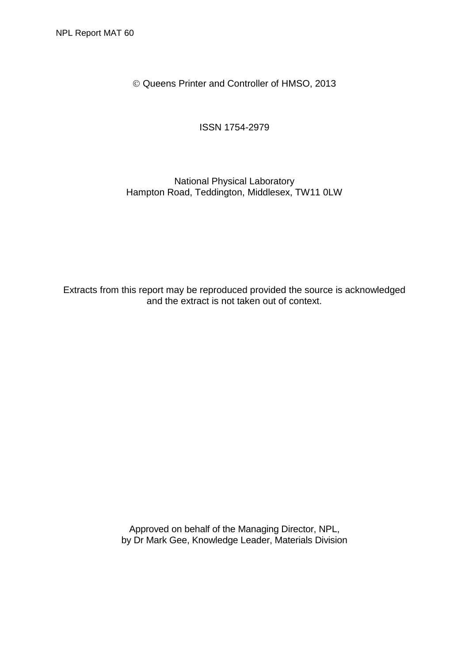Queens Printer and Controller of HMSO, 2013

ISSN 1754-2979

## National Physical Laboratory Hampton Road, Teddington, Middlesex, TW11 0LW

Extracts from this report may be reproduced provided the source is acknowledged and the extract is not taken out of context.

> Approved on behalf of the Managing Director, NPL, by Dr Mark Gee, Knowledge Leader, Materials Division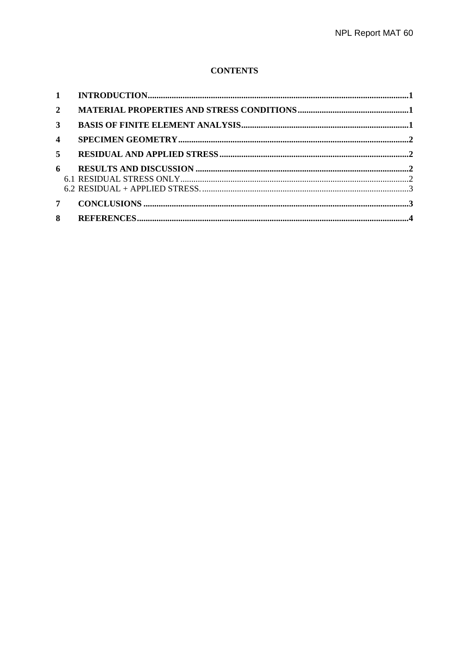## **CONTENTS**

| $\mathbf{1}$            |  |
|-------------------------|--|
| $\overline{2}$          |  |
| 3                       |  |
| $\overline{\mathbf{4}}$ |  |
| 5                       |  |
| 6                       |  |
|                         |  |
|                         |  |
| 7                       |  |
| 8                       |  |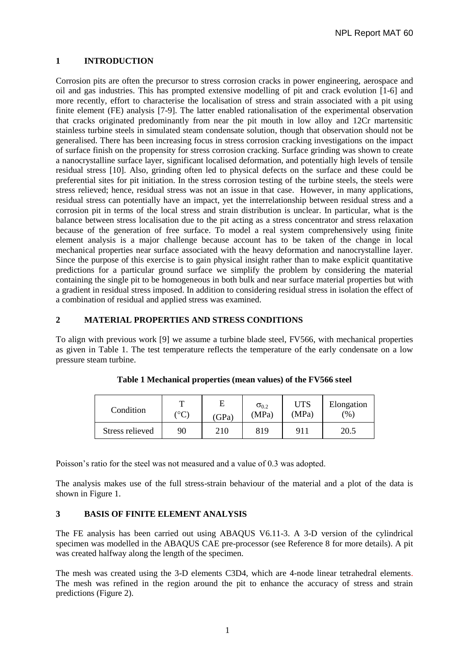## <span id="page-6-0"></span>**1 INTRODUCTION**

Corrosion pits are often the precursor to stress corrosion cracks in power engineering, aerospace and oil and gas industries. This has prompted extensive modelling of pit and crack evolution [1-6] and more recently, effort to characterise the localisation of stress and strain associated with a pit using finite element (FE) analysis [7-9]. The latter enabled rationalisation of the experimental observation that cracks originated predominantly from near the pit mouth in low alloy and 12Cr martensitic stainless turbine steels in simulated steam condensate solution, though that observation should not be generalised. There has been increasing focus in stress corrosion cracking investigations on the impact of surface finish on the propensity for stress corrosion cracking. Surface grinding was shown to create a nanocrystalline surface layer, significant localised deformation, and potentially high levels of tensile residual stress [10]. Also, grinding often led to physical defects on the surface and these could be preferential sites for pit initiation. In the stress corrosion testing of the turbine steels, the steels were stress relieved; hence, residual stress was not an issue in that case. However, in many applications, residual stress can potentially have an impact, yet the interrelationship between residual stress and a corrosion pit in terms of the local stress and strain distribution is unclear. In particular, what is the balance between stress localisation due to the pit acting as a stress concentrator and stress relaxation because of the generation of free surface. To model a real system comprehensively using finite element analysis is a major challenge because account has to be taken of the change in local mechanical properties near surface associated with the heavy deformation and nanocrystalline layer. Since the purpose of this exercise is to gain physical insight rather than to make explicit quantitative predictions for a particular ground surface we simplify the problem by considering the material containing the single pit to be homogeneous in both bulk and near surface material properties but with a gradient in residual stress imposed. In addition to considering residual stress in isolation the effect of a combination of residual and applied stress was examined.

#### <span id="page-6-1"></span>**2 MATERIAL PROPERTIES AND STRESS CONDITIONS**

To align with previous work [9] we assume a turbine blade steel, FV566, with mechanical properties as given in Table 1. The test temperature reflects the temperature of the early condensate on a low pressure steam turbine.

| Condition       | ᠇᠇            | E     | $\sigma_{0.2}$ | <b>UTS</b> | Elongation    |
|-----------------|---------------|-------|----------------|------------|---------------|
|                 | $^{\circ}$ C) | (GPa) | (MPa)          | (MPa)      | $\frac{1}{2}$ |
| Stress relieved | 90            | 210   | 819            | 911        | 20.5          |

**Table 1 Mechanical properties (mean values) of the FV566 steel**

Poisson's ratio for the steel was not measured and a value of 0.3 was adopted.

The analysis makes use of the full stress-strain behaviour of the material and a plot of the data is shown in Figure 1.

## <span id="page-6-2"></span>**3 BASIS OF FINITE ELEMENT ANALYSIS**

The FE analysis has been carried out using ABAQUS V6.11-3. A 3-D version of the cylindrical specimen was modelled in the ABAQUS CAE pre-processor (see Reference 8 for more details). A pit was created halfway along the length of the specimen.

The mesh was created using the 3-D elements C3D4, which are 4-node linear tetrahedral elements. The mesh was refined in the region around the pit to enhance the accuracy of stress and strain predictions (Figure 2).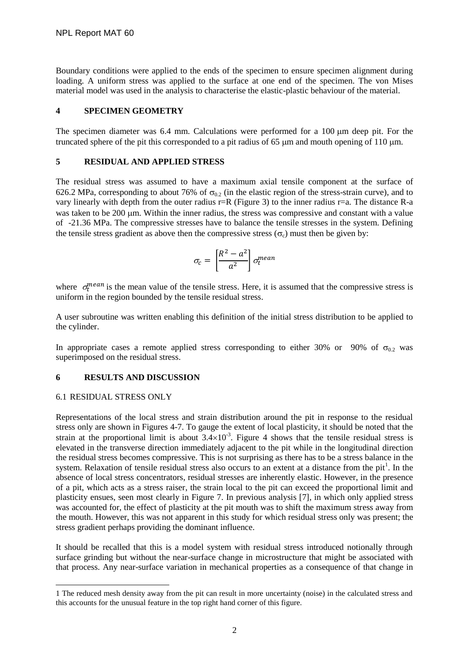Boundary conditions were applied to the ends of the specimen to ensure specimen alignment during loading. A uniform stress was applied to the surface at one end of the specimen. The von Mises material model was used in the analysis to characterise the elastic-plastic behaviour of the material.

## <span id="page-7-0"></span>**4 SPECIMEN GEOMETRY**

The specimen diameter was  $6.4$  mm. Calculations were performed for a  $100 \mu m$  deep pit. For the truncated sphere of the pit this corresponded to a pit radius of 65  $\mu$ m and mouth opening of 110  $\mu$ m.

#### <span id="page-7-1"></span>**5 RESIDUAL AND APPLIED STRESS**

The residual stress was assumed to have a maximum axial tensile component at the surface of 626.2 MPa, corresponding to about 76% of  $\sigma_{0.2}$  (in the elastic region of the stress-strain curve), and to vary linearly with depth from the outer radius r=R (Figure 3) to the inner radius r=a. The distance R-a was taken to be 200 µm. Within the inner radius, the stress was compressive and constant with a value of -21.36 MPa. The compressive stresses have to balance the tensile stresses in the system. Defining the tensile stress gradient as above then the compressive stress ( $\sigma_c$ ) must then be given by:

$$
\sigma_c = \left[\frac{R^2 - a^2}{a^2}\right] \sigma_t^{mean}
$$

where  $\sigma_t^{mean}$  is the mean value of the tensile stress. Here, it is assumed that the compressive stress is uniform in the region bounded by the tensile residual stress.

A user subroutine was written enabling this definition of the initial stress distribution to be applied to the cylinder.

In appropriate cases a remote applied stress corresponding to either 30% or 90% of  $\sigma_{0.2}$  was superimposed on the residual stress.

## <span id="page-7-2"></span>**6 RESULTS AND DISCUSSION**

#### <span id="page-7-3"></span>6.1 RESIDUAL STRESS ONLY

l

Representations of the local stress and strain distribution around the pit in response to the residual stress only are shown in Figures 4-7. To gauge the extent of local plasticity, it should be noted that the strain at the proportional limit is about  $3.4 \times 10^{-3}$ . Figure 4 shows that the tensile residual stress is elevated in the transverse direction immediately adjacent to the pit while in the longitudinal direction the residual stress becomes compressive. This is not surprising as there has to be a stress balance in the system. Relaxation of tensile residual stress also occurs to an extent at a distance from the pit<sup>1</sup>. In the absence of local stress concentrators, residual stresses are inherently elastic. However, in the presence of a pit, which acts as a stress raiser, the strain local to the pit can exceed the proportional limit and plasticity ensues, seen most clearly in Figure 7. In previous analysis [7], in which only applied stress was accounted for, the effect of plasticity at the pit mouth was to shift the maximum stress away from the mouth. However, this was not apparent in this study for which residual stress only was present; the stress gradient perhaps providing the dominant influence.

It should be recalled that this is a model system with residual stress introduced notionally through surface grinding but without the near-surface change in microstructure that might be associated with that process. Any near-surface variation in mechanical properties as a consequence of that change in

<sup>1</sup> The reduced mesh density away from the pit can result in more uncertainty (noise) in the calculated stress and this accounts for the unusual feature in the top right hand corner of this figure.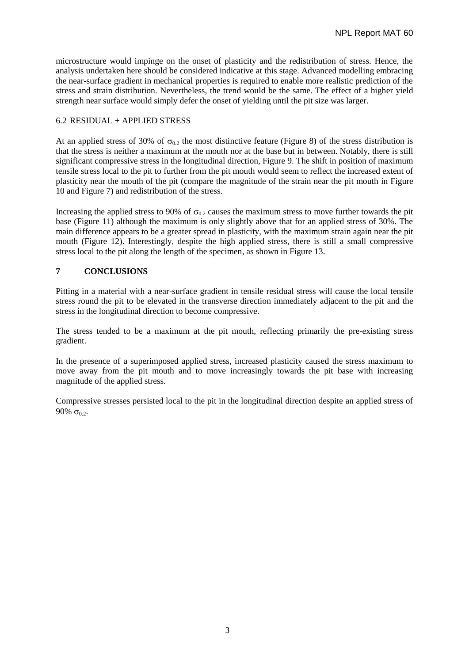microstructure would impinge on the onset of plasticity and the redistribution of stress. Hence, the analysis undertaken here should be considered indicative at this stage. Advanced modelling embracing the near-surface gradient in mechanical properties is required to enable more realistic prediction of the stress and strain distribution. Nevertheless, the trend would be the same. The effect of a higher yield strength near surface would simply defer the onset of yielding until the pit size was larger.

## <span id="page-8-0"></span>6.2 RESIDUAL + APPLIED STRESS

At an applied stress of 30% of  $\sigma_{0.2}$  the most distinctive feature (Figure 8) of the stress distribution is that the stress is neither a maximum at the mouth nor at the base but in between. Notably, there is still significant compressive stress in the longitudinal direction, Figure 9. The shift in position of maximum tensile stress local to the pit to further from the pit mouth would seem to reflect the increased extent of plasticity near the mouth of the pit (compare the magnitude of the strain near the pit mouth in Figure 10 and Figure 7) and redistribution of the stress.

Increasing the applied stress to 90% of  $\sigma_{0.2}$  causes the maximum stress to move further towards the pit base (Figure 11) although the maximum is only slightly above that for an applied stress of 30%. The main difference appears to be a greater spread in plasticity, with the maximum strain again near the pit mouth (Figure 12). Interestingly, despite the high applied stress, there is still a small compressive stress local to the pit along the length of the specimen, as shown in Figure 13.

## <span id="page-8-1"></span>**7 CONCLUSIONS**

Pitting in a material with a near-surface gradient in tensile residual stress will cause the local tensile stress round the pit to be elevated in the transverse direction immediately adjacent to the pit and the stress in the longitudinal direction to become compressive.

The stress tended to be a maximum at the pit mouth, reflecting primarily the pre-existing stress gradient.

In the presence of a superimposed applied stress, increased plasticity caused the stress maximum to move away from the pit mouth and to move increasingly towards the pit base with increasing magnitude of the applied stress.

Compressive stresses persisted local to the pit in the longitudinal direction despite an applied stress of 90%  $\sigma_{0.2}$ .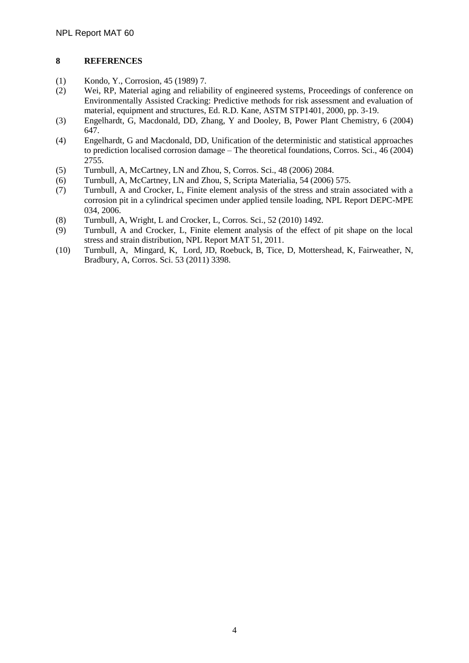## <span id="page-9-0"></span>**8 REFERENCES**

- (1) Kondo, Y., Corrosion, 45 (1989) 7.
- (2) Wei, RP, Material aging and reliability of engineered systems, Proceedings of conference on Environmentally Assisted Cracking: Predictive methods for risk assessment and evaluation of material, equipment and structures, Ed. R.D. Kane, ASTM STP1401, 2000, pp. 3-19.
- (3) Engelhardt, G, Macdonald, DD, Zhang, Y and Dooley, B, Power Plant Chemistry, 6 (2004) 647.
- (4) Engelhardt, G and Macdonald, DD, Unification of the deterministic and statistical approaches to prediction localised corrosion damage – The theoretical foundations, Corros. Sci., 46 (2004) 2755.
- (5) Turnbull, A, McCartney, LN and Zhou, S, Corros. Sci., 48 (2006) 2084.
- (6) Turnbull, A, McCartney, LN and Zhou, S, Scripta Materialia, 54 (2006) 575.
- (7) Turnbull, A and Crocker, L, Finite element analysis of the stress and strain associated with a corrosion pit in a cylindrical specimen under applied tensile loading, NPL Report DEPC-MPE 034, 2006.
- (8) Turnbull, A, Wright, L and Crocker, L, Corros. Sci., 52 (2010) 1492.
- (9) Turnbull, A and Crocker, L, Finite element analysis of the effect of pit shape on the local stress and strain distribution, NPL Report MAT 51, 2011.
- (10) Turnbull, A, Mingard, K, Lord, JD, Roebuck, B, Tice, D, Mottershead, K, Fairweather, N, Bradbury, A, Corros. Sci. 53 (2011) 3398.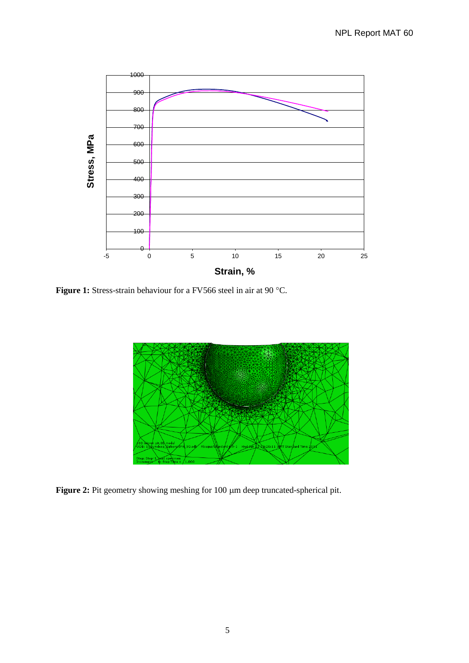

Figure 1: Stress-strain behaviour for a FV566 steel in air at 90 °C.



Figure 2: Pit geometry showing meshing for 100  $\mu$ m deep truncated-spherical pit.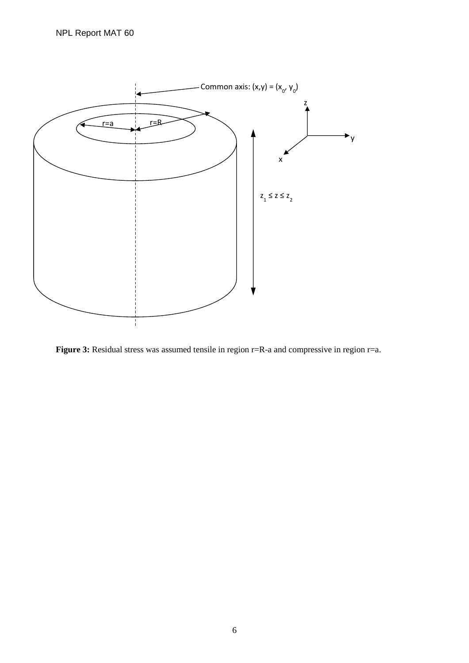

Figure 3: Residual stress was assumed tensile in region r=R-a and compressive in region r=a.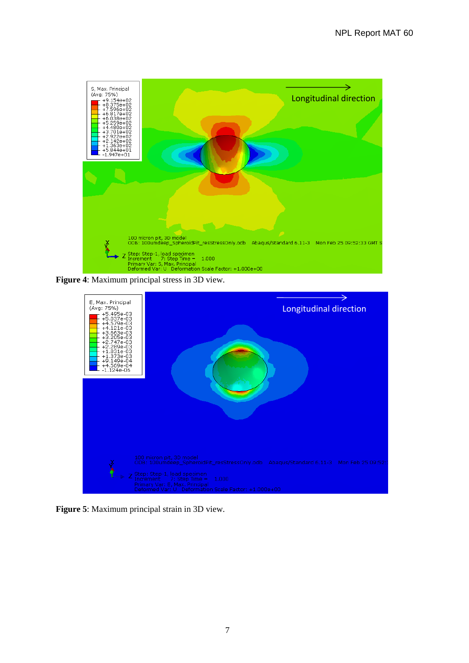

**Figure 4**: Maximum principal stress in 3D view.



**Figure 5**: Maximum principal strain in 3D view.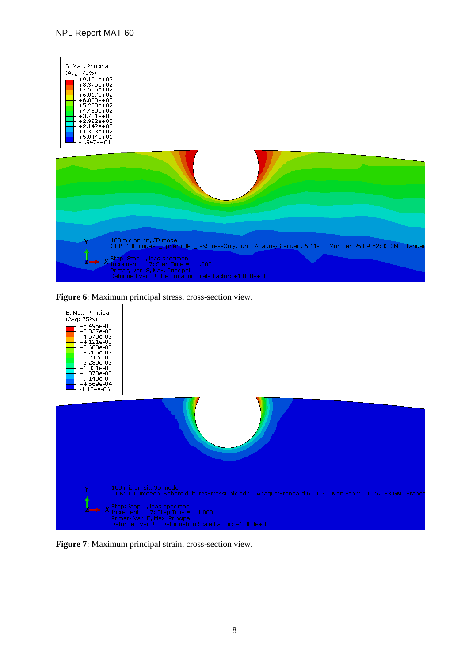## NPL Report MAT 60





**Figure 7**: Maximum principal strain, cross-section view.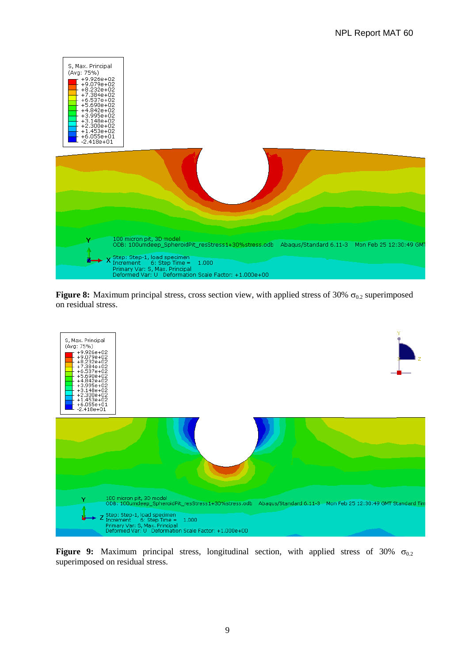

**Figure 8:** Maximum principal stress, cross section view, with applied stress of 30%  $\sigma_{0.2}$  superimposed on residual stress.



**Figure 9:** Maximum principal stress, longitudinal section, with applied stress of 30%  $\sigma_{0.2}$ superimposed on residual stress.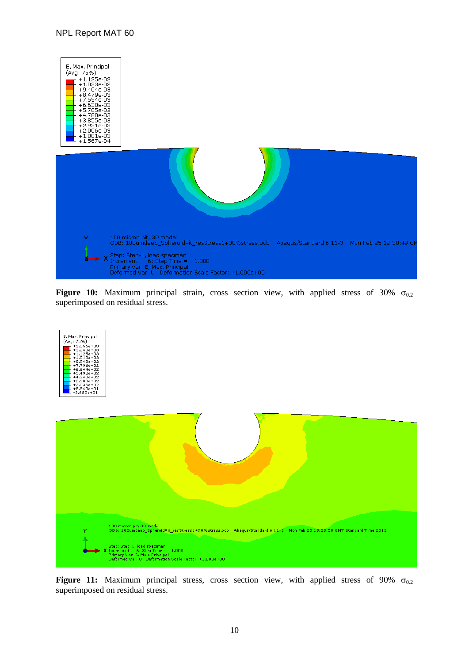#### NPL Report MAT 60



**Figure 10:** Maximum principal strain, cross section view, with applied stress of 30%  $\sigma_{0.2}$ superimposed on residual stress.





**Figure 11:** Maximum principal stress, cross section view, with applied stress of 90%  $\sigma_{0.2}$ superimposed on residual stress.